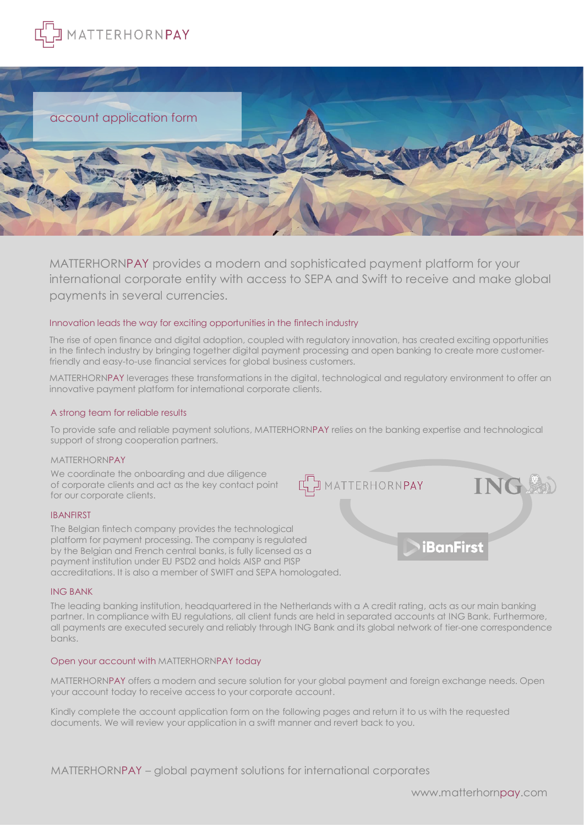



MATTERHORNPAY provides a modern and sophisticated payment platform for your international corporate entity with access to SEPA and Swift to receive and make global payments in several currencies.

## Innovation leads the way for exciting opportunities in the fintech industry

The rise of open finance and digital adoption, coupled with regulatory innovation, has created exciting opportunities in the fintech industry by bringing together digital payment processing and open banking to create more customerfriendly and easy-to-use financial services for global business customers.

MATTERHORNPAY leverages these transformations in the digital, technological and regulatory environment to offer an innovative payment platform for international corporate clients.

## A strong team for reliable results

To provide safe and reliable payment solutions, MATTERHORNPAY relies on the banking expertise and technological support of strong cooperation partners.

## MATTERHORNPAY

We coordinate the onboarding and due diligence of corporate clients and act as the key contact point for our corporate clients.

#### IBANFIRST

The Belgian fintech company provides the technological platform for payment processing. The company is regulated by the Belgian and French central banks, is fully licensed as a payment institution under EU PSD2 and holds AISP and PISP accreditations. It is also a member of SWIFT and SEPA homologated.

#### ING BANK

The leading banking institution, headquartered in the Netherlands with a A credit rating, acts as our main banking partner. In compliance with EU regulations, all client funds are held in separated accounts at ING Bank. Furthermore, all payments are executed securely and reliably through ING Bank and its global network of tier-one correspondence banks.

## Open your account with MATTERHORNPAY today

MATTERHORNPAY offers a modern and secure solution for your global payment and foreign exchange needs. Open your account today to receive access to your corporate account.

Kindly complete the account application form on the following pages and return it to us with the requested documents. We will review your application in a swift manner and revert back to you.

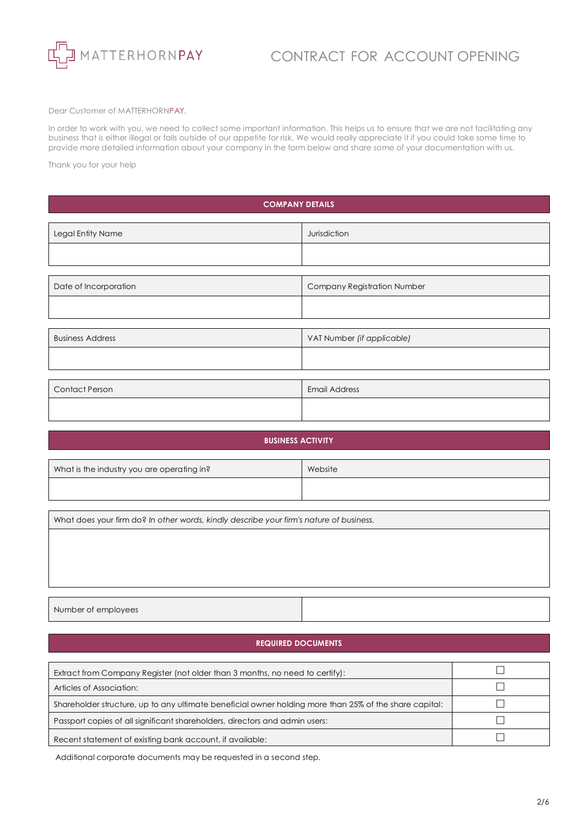![](_page_1_Picture_0.jpeg)

# CONTRACT FOR ACCOUNT OPENING

Dear Customer of MATTERHORNPAY,

In order to work with you, we need to collect some important information. This helps us to ensure that we are not facilitating any business that is either illegal or falls outside of our appetite for risk. We would really appreciate it if you could take some time to provide more detailed information about your company in the form below and share some of your documentation with us.

Thank you for your help

# **COMPANY DETAILS**

| Legal Entity Name       | Jurisdiction                |
|-------------------------|-----------------------------|
|                         |                             |
|                         |                             |
| Date of Incorporation   | Company Registration Number |
|                         |                             |
|                         |                             |
| <b>Business Address</b> | VAT Number (if applicable)  |
|                         |                             |
|                         |                             |
| <b>Contact Person</b>   | <b>Email Address</b>        |
|                         |                             |

# **BUSINESS ACTIVITY**

| What is the industry you are operating in? | Website |
|--------------------------------------------|---------|
|                                            |         |

What does your firm do? *In other words, kindly describe your firm's nature of business.*

Number of employees

## **REQUIRED DOCUMENTS**

| Extract from Company Register (not older than 3 months, no need to certify):                           |  |
|--------------------------------------------------------------------------------------------------------|--|
| Articles of Association:                                                                               |  |
| Shareholder structure, up to any ultimate beneficial owner holding more than 25% of the share capital: |  |
| Passport copies of all significant shareholders, directors and admin users:                            |  |
| Recent statement of existing bank account, if available:                                               |  |

Additional corporate documents may be requested in a second step.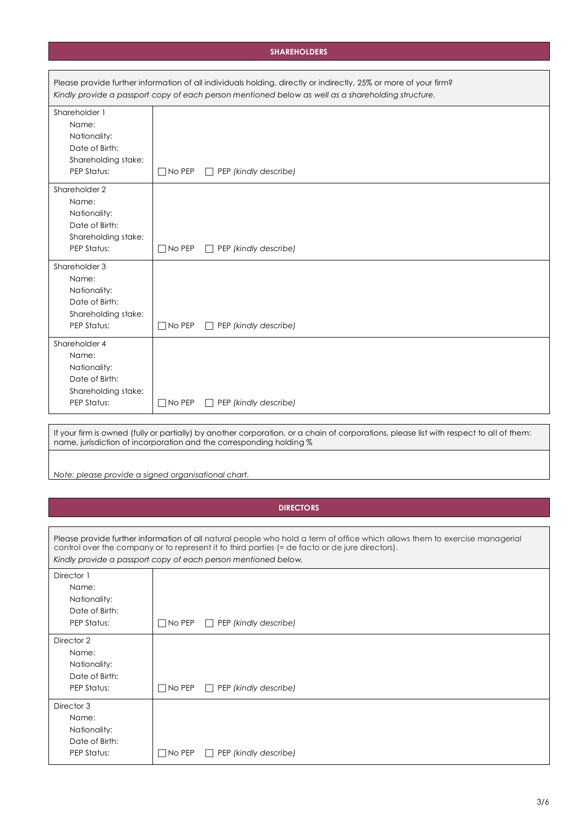# **SHAREHOLDERS**

|                                                                                                | Please provide further information of all individuals holding, directly or indirectly, 25% or more of your firm?<br>Kindly provide a passport copy of each person mentioned below as well as a shareholding structure.                                                                           |
|------------------------------------------------------------------------------------------------|--------------------------------------------------------------------------------------------------------------------------------------------------------------------------------------------------------------------------------------------------------------------------------------------------|
| Shareholder 1<br>Name:<br>Nationality:<br>Date of Birth:<br>Shareholding stake:<br>PEP Status: | $\Box$ PEP (kindly describe)<br>$\Box$ No PEP                                                                                                                                                                                                                                                    |
| Shareholder 2                                                                                  |                                                                                                                                                                                                                                                                                                  |
| Name:<br>Nationality:<br>Date of Birth:<br>Shareholding stake:<br>PEP Status:                  | $\Box$ No PEP<br>$\Box$ PEP (kindly describe)                                                                                                                                                                                                                                                    |
| Shareholder 3<br>Name:<br>Nationality:<br>Date of Birth:<br>Shareholding stake:<br>PEP Status: | $\Box$ PEP (kindly describe)<br>$\Box$ No PEP                                                                                                                                                                                                                                                    |
| Shareholder 4<br>Name:<br>Nationality:<br>Date of Birth:<br>Shareholding stake:<br>PEP Status: | $\Box$ No PEP<br>$\Box$ PEP (kindly describe)                                                                                                                                                                                                                                                    |
|                                                                                                | If your firm is owned (fully or partially) by another corporation, or a chain of corporations, please list with respect to all of them:<br>name, jurisdiction of incorporation and the corresponding holding %                                                                                   |
| Note: please provide a signed organisational chart.                                            |                                                                                                                                                                                                                                                                                                  |
|                                                                                                |                                                                                                                                                                                                                                                                                                  |
|                                                                                                | <b>DIRECTORS</b>                                                                                                                                                                                                                                                                                 |
|                                                                                                |                                                                                                                                                                                                                                                                                                  |
|                                                                                                | Please provide further information of all natural people who hold a term of office which allows them to exercise managerial<br>control over the company or to represent it to third parties (= de facto or de jure directors).<br>Kindly provide a passport copy of each person mentioned below. |
| Director 1<br>Name:<br>Nationality:<br>Date of Birth:<br>PEP Status:                           | $\Box$ No PEP<br>$\Box$ PEP (kindly describe)                                                                                                                                                                                                                                                    |
| Director 2<br>Name:<br>Nationality:<br>Date of Birth:<br>PEP Status:                           | $\Box$ No PEP<br>$\Box$ PEP (kindly describe)                                                                                                                                                                                                                                                    |
| Director 3<br>Name:<br>Nationality:                                                            |                                                                                                                                                                                                                                                                                                  |

Date of Birth:

PEP Status: **I** No PEP □ PEP *(kindly describe)*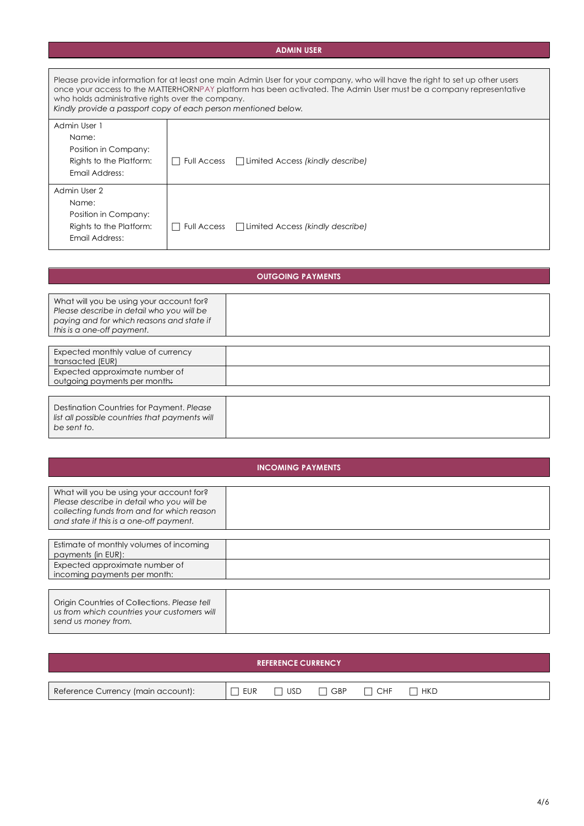# **ADMIN USER**

| Please provide information for at least one main Admin User for your company, who will have the right to set up other users<br>once your access to the MATTERHORNPAY platform has been activated. The Admin User must be a company representative<br>who holds administrative rights over the company.<br>Kindly provide a passport copy of each person mentioned below. |                                                            |  |  |  |
|--------------------------------------------------------------------------------------------------------------------------------------------------------------------------------------------------------------------------------------------------------------------------------------------------------------------------------------------------------------------------|------------------------------------------------------------|--|--|--|
| Admin User 1                                                                                                                                                                                                                                                                                                                                                             |                                                            |  |  |  |
| Name:                                                                                                                                                                                                                                                                                                                                                                    |                                                            |  |  |  |
| Position in Company:                                                                                                                                                                                                                                                                                                                                                     |                                                            |  |  |  |
| Rights to the Platform:                                                                                                                                                                                                                                                                                                                                                  | $\Box$ Limited Access (kindly describe)<br>l I Full Access |  |  |  |
| Email Address:                                                                                                                                                                                                                                                                                                                                                           |                                                            |  |  |  |
| Admin User 2                                                                                                                                                                                                                                                                                                                                                             |                                                            |  |  |  |
| Name:                                                                                                                                                                                                                                                                                                                                                                    |                                                            |  |  |  |
| Position in Company:                                                                                                                                                                                                                                                                                                                                                     |                                                            |  |  |  |
| Rights to the Platform:                                                                                                                                                                                                                                                                                                                                                  | $\Box$ Limited Access (kindly describe)<br>Full Access     |  |  |  |
| Email Address:                                                                                                                                                                                                                                                                                                                                                           |                                                            |  |  |  |

| <b>OUTGOING PAYMENTS</b>                                                                                                                                         |  |  |  |  |
|------------------------------------------------------------------------------------------------------------------------------------------------------------------|--|--|--|--|
| What will you be using your account for?<br>Please describe in detail who you will be<br>paying and for which reasons and state if<br>this is a one-off payment. |  |  |  |  |
| Expected monthly value of currency<br>transacted (EUR)<br>Expected approximate number of                                                                         |  |  |  |  |
| outgoing payments per month.<br>Destination Countries for Payment, Please<br>list all possible countries that payments will                                      |  |  |  |  |
| be sent to.                                                                                                                                                      |  |  |  |  |

| <b>INCOMING PAYMENTS</b>                                                                                                                                                       |  |  |  |
|--------------------------------------------------------------------------------------------------------------------------------------------------------------------------------|--|--|--|
| What will you be using your account for?<br>Please describe in detail who you will be<br>collecting funds from and for which reason<br>and state if this is a one-off payment. |  |  |  |
| Estimate of monthly volumes of incoming<br>payments (in EUR):<br>Expected approximate number of                                                                                |  |  |  |
| incoming payments per month:                                                                                                                                                   |  |  |  |
| Origin Countries of Collections. Please tell<br>us from which countries your customers will<br>send us money from.                                                             |  |  |  |

| <b>REFERENCE CURRENCY</b>          |     |            |            |            |            |
|------------------------------------|-----|------------|------------|------------|------------|
|                                    |     |            |            |            |            |
| Reference Currency (main account): | EUR | <b>USD</b> | $\Box$ GBP | <b>CHF</b> | $\Box$ hkd |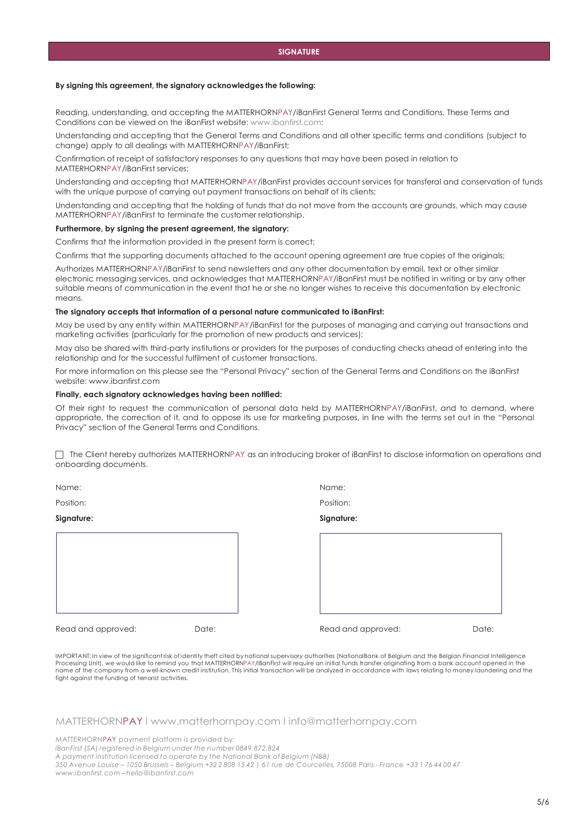#### **By signing this agreement, the signatory acknowledges the following:**

Reading, understanding, and accepting the MATTERHORNPAY/iBanFirst General Terms and Conditions. These Terms and Conditions can be viewed on the iBanFirst website[: www.ibanfirst.com:](http://www.ibanfirst.com/)

Understanding and accepting that the General Terms and Conditions and all other specific terms and conditions (subject to change) apply to all dealings with MATTERHORNPAY/iBanFirst;

Confirmation of receipt of satisfactory responses to any questions that may have been posed in relation to MATTERHORNPAY/iBanFirst services;

Understanding and accepting that MATTERHORNPAY/iBanFirst provides account services for transferal and conservation of funds with the unique purpose of carrying out payment transactions on behalf of its clients;

Understanding and accepting that the holding of funds that do not move from the accounts are grounds, which may cause MATTERHORNPAY/iBanFirst to terminate the customer relationship.

#### **Furthermore, by signing the present agreement, the signatory:**

Confirms that the information provided in the present form is correct;

Confirms that the supporting documents attached to the account opening agreement are true copies of the originals;

Authorizes MATTERHORNPAY/iBanFirst to send newsletters and any other documentation by email, text or other similar electronic messaging services, and acknowledges that MATTERHORNPAY/iBanFirst must be notified in writing or by any other suitable means of communication in the event that he or she no longer wishes to receive this documentation by electronic means.

#### **The signatory accepts that information of a personal nature communicated to iBanFirst:**

May be used by any entity within MATTERHORNPAY/iBanFirst for the purposes of managing and carrying out transactions and marketing activities (particularly for the promotion of new products and services);

May also be shared with third-party institutions or providers for the purposes of conducting checks ahead of entering into the relationship and for the successful fulfilment of customer transactions.

For more information on this please see the "Personal Privacy" section of the General Terms and Conditions on the iBanFirst website: [www.ibanfirst.com](http://www.ibanfirst.com/)

#### **Finally, each signatory acknowledges having been notified:**

Of their right to request the communication of personal data held by MATTERHORNPAY/iBanFirst, and to demand, where appropriate, the correction of it, and to oppose its use for marketing purposes, in line with the terms set out in the "Personal Privacy" section of the General Terms and Conditions.

 The Client hereby authorizes MATTERHORNPAY as an introducing broker of iBanFirst to disclose information on operations and onboarding documents.

| Name:              |       | Name:              |       |
|--------------------|-------|--------------------|-------|
| Position:          |       | Position:          |       |
| Signature:         |       | Signature:         |       |
|                    |       |                    |       |
|                    |       |                    |       |
|                    |       |                    |       |
|                    |       |                    |       |
|                    |       |                    |       |
| Read and approved: | Date: | Read and approved: | Date: |

IMPORTANT: In view of the significant risk of identity theft cited by national supervisory authorities (NationalBank of Belgium and the Belgian Financial Intelligence Processing Unit), we would like to remind you that MATTERHORNPAY/iBanFirst will require an initial funds transfer originating from a bank account opened in the name of the company from a well-known credit institution. This initial transaction will be analyzed in accordance with laws relating to money laundering and the fight against the funding of terrorist activities.

#### MATTERHORNPAY I [www.matterhornpay.com](http://www.matterhornpay.com/) I [info@matterhornpay.com](mailto:info@matterhornpay.com)

MATTERHORNPAY payment platform is provided by:

*iBanFirst (SA) registered in Belgium under the number 0849.872.824*

*A payment institution licensed to operate by the National Bank of Belgium (NBB)*

350 Avenue Louise - 1050 Brussels - Belgium +32 2 808 15 42 | 61 rue de Courcelles, 75008 Paris - France +33 176 44 00 47 *[www.ibanfirst.com](http://www.ibanfirst.com/) – [hello@ibanfirst.com](mailto:hello@ibanfirst.com)*